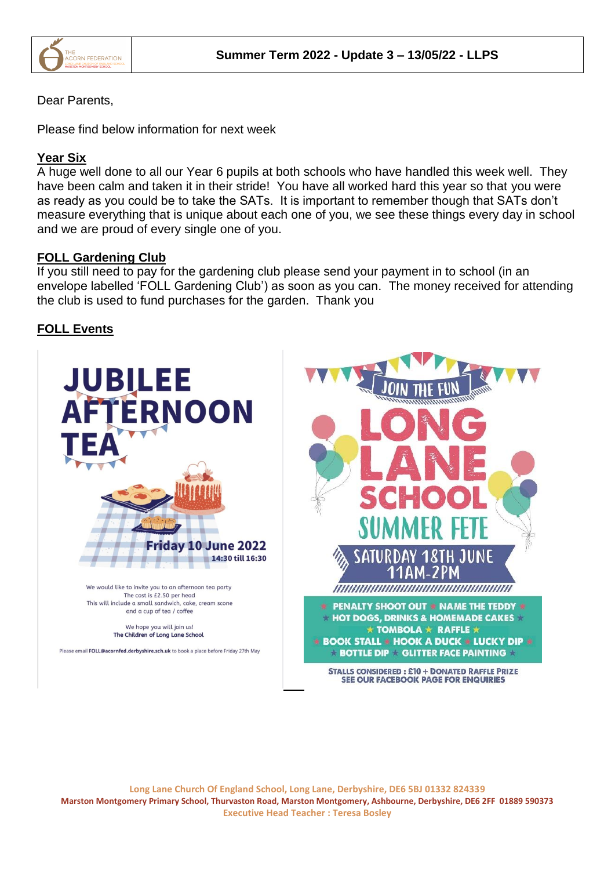

## Dear Parents,

Please find below information for next week

# **Year Six**

A huge well done to all our Year 6 pupils at both schools who have handled this week well. They have been calm and taken it in their stride! You have all worked hard this year so that you were as ready as you could be to take the SATs. It is important to remember though that SATs don't measure everything that is unique about each one of you, we see these things every day in school and we are proud of every single one of you.

## **FOLL Gardening Club**

If you still need to pay for the gardening club please send your payment in to school (in an envelope labelled 'FOLL Gardening Club') as soon as you can. The money received for attending the club is used to fund purchases for the garden. Thank you

# **FOLL Events**

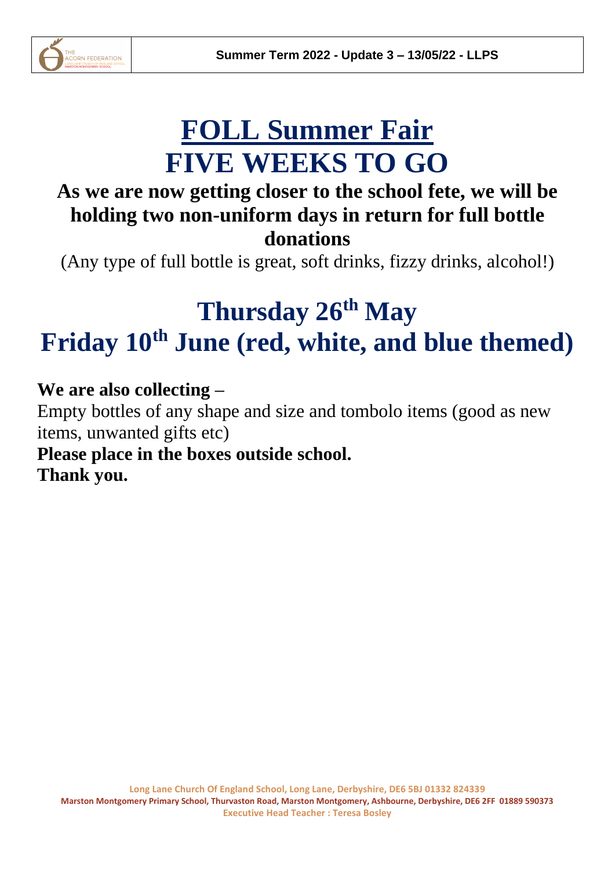

# **FOLL Summer Fair FIVE WEEKS TO GO**

# **As we are now getting closer to the school fete, we will be holding two non-uniform days in return for full bottle donations**

(Any type of full bottle is great, soft drinks, fizzy drinks, alcohol!)

# **Thursday 26th May Friday 10th June (red, white, and blue themed)**

**We are also collecting –**

Empty bottles of any shape and size and tombolo items (good as new items, unwanted gifts etc)

**Please place in the boxes outside school. Thank you.**